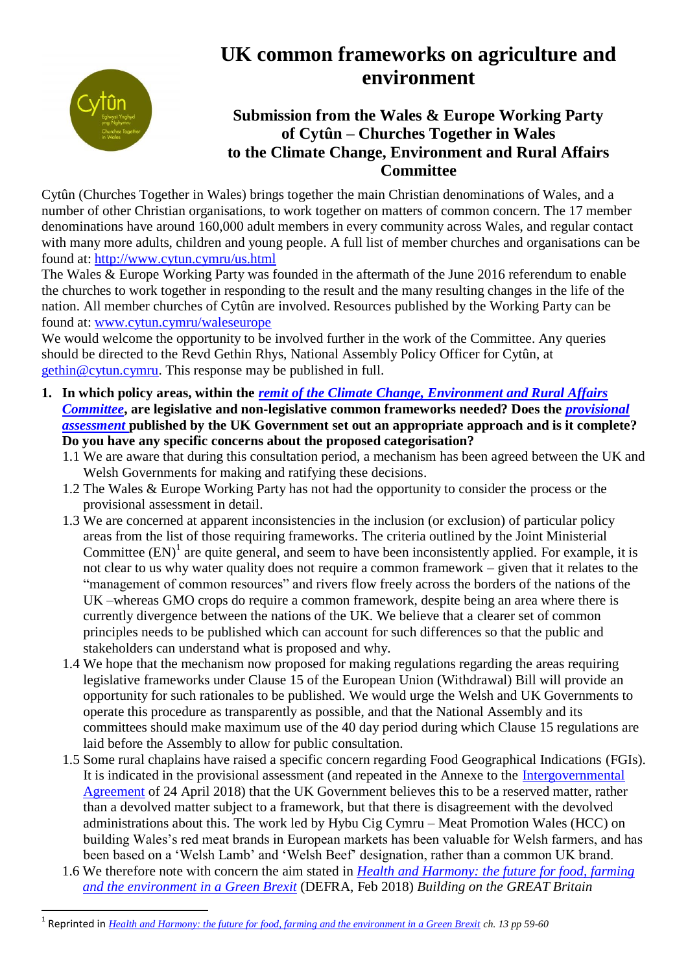

1

## **UK common frameworks on agriculture and environment**

## **Submission from the Wales & Europe Working Party of Cytûn – Churches Together in Wales to the Climate Change, Environment and Rural Affairs Committee**

Cytûn (Churches Together in Wales) brings together the main Christian denominations of Wales, and a number of other Christian organisations, to work together on matters of common concern. The 17 member denominations have around 160,000 adult members in every community across Wales, and regular contact with many more adults, children and young people. A full list of member churches and organisations can be found at:<http://www.cytun.cymru/us.html>

The Wales & Europe Working Party was founded in the aftermath of the June 2016 referendum to enable the churches to work together in responding to the result and the many resulting changes in the life of the nation. All member churches of Cytûn are involved. Resources published by the Working Party can be found at: [www.cytun.cymru/waleseurope](http://www.cytun.cymru/waleseurope) 

We would welcome the opportunity to be involved further in the work of the Committee. Any queries should be directed to the Revd Gethin Rhys, National Assembly Policy Officer for Cytûn, at [gethin@cytun.cymru.](mailto:gethin@cytun.cymru) This response may be published in full.

- **1. In which policy areas, within the** *[remit of the Climate Change, Environment and Rural Affairs](http://www.senedd.assembly.wales/mgCommitteeDetails.aspx?ID=444)  [Committee](http://www.senedd.assembly.wales/mgCommitteeDetails.aspx?ID=444)*, are legislative and non-legislative common frameworks needed? Does the *provisional [assessment](https://www.gov.uk/government/publications/frameworks-analysis)* **published by the UK Government set out an appropriate approach and is it complete? Do you have any specific concerns about the proposed categorisation?**
	- 1.1 We are aware that during this consultation period, a mechanism has been agreed between the UK and Welsh Governments for making and ratifying these decisions.
	- 1.2 The Wales & Europe Working Party has not had the opportunity to consider the process or the provisional assessment in detail.
	- 1.3 We are concerned at apparent inconsistencies in the inclusion (or exclusion) of particular policy areas from the list of those requiring frameworks. The criteria outlined by the Joint Ministerial Committee  $(EN)^1$  are quite general, and seem to have been inconsistently applied. For example, it is not clear to us why water quality does not require a common framework – given that it relates to the "management of common resources" and rivers flow freely across the borders of the nations of the UK –whereas GMO crops do require a common framework, despite being an area where there is currently divergence between the nations of the UK. We believe that a clearer set of common principles needs to be published which can account for such differences so that the public and stakeholders can understand what is proposed and why.
	- 1.4 We hope that the mechanism now proposed for making regulations regarding the areas requiring legislative frameworks under Clause 15 of the European Union (Withdrawal) Bill will provide an opportunity for such rationales to be published. We would urge the Welsh and UK Governments to operate this procedure as transparently as possible, and that the National Assembly and its committees should make maximum use of the 40 day period during which Clause 15 regulations are laid before the Assembly to allow for public consultation.
	- 1.5 Some rural chaplains have raised a specific concern regarding Food Geographical Indications (FGIs). It is indicated in the provisional assessment (and repeated in the Annexe to the [Intergovernmental](https://assets.publishing.service.gov.uk/government/uploads/system/uploads/attachment_data/file/702623/2018-04-24_UKG-DA_IGA_and_Memorandum.pdf)  [Agreement](https://assets.publishing.service.gov.uk/government/uploads/system/uploads/attachment_data/file/702623/2018-04-24_UKG-DA_IGA_and_Memorandum.pdf) of 24 April 2018) that the UK Government believes this to be a reserved matter, rather than a devolved matter subject to a framework, but that there is disagreement with the devolved administrations about this. The work led by Hybu Cig Cymru – Meat Promotion Wales (HCC) on building Wales's red meat brands in European markets has been valuable for Welsh farmers, and has been based on a 'Welsh Lamb' and 'Welsh Beef' designation, rather than a common UK brand.
	- 1.6 We therefore note with concern the aim stated in *[Health and Harmony: the future for food, farming](https://assets.publishing.service.gov.uk/government/uploads/system/uploads/attachment_data/file/684003/future-farming-environment-consult-document.pdf)  [and the environment in a Green Brexit](https://assets.publishing.service.gov.uk/government/uploads/system/uploads/attachment_data/file/684003/future-farming-environment-consult-document.pdf)* (DEFRA, Feb 2018) *Building on the GREAT Britain*

<sup>&</sup>lt;sup>1</sup> Reprinted in *[Health and Harmony: the future for food, farming and the environment in a Green Brexit](https://assets.publishing.service.gov.uk/government/uploads/system/uploads/attachment_data/file/684003/future-farming-environment-consult-document.pdf) <i>ch.* 13 pp 59-60